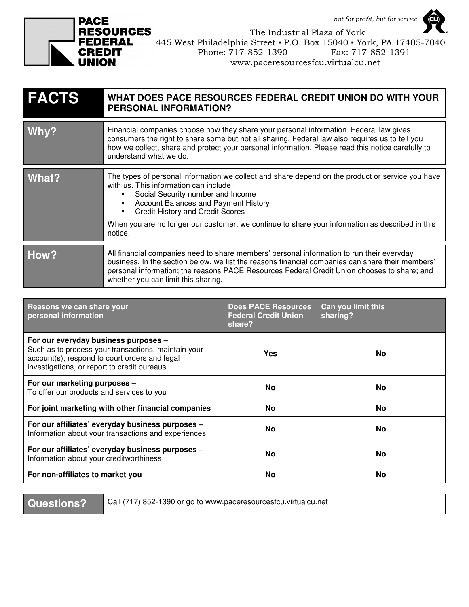not for profit, but for service



 The Industrial Plaza of York **RAL**  $\frac{445 \text{ West Philadelphia Street} \cdot P.O. \text{Box } 15040 \cdot \text{York, PA } 17405-7040}$ Phone: 717-852-1390 Fax: 717-852-1391

| www.paceresourcesfcu.virtualcu.net |  |  |
|------------------------------------|--|--|
|                                    |  |  |

| <b>FACTS</b> | WHAT DOES PACE RESOURCES FEDERAL CREDIT UNION DO WITH YOUR<br><b>PERSONAL INFORMATION?</b>                                                                                                                                                                                                                                                                                       |  |  |
|--------------|----------------------------------------------------------------------------------------------------------------------------------------------------------------------------------------------------------------------------------------------------------------------------------------------------------------------------------------------------------------------------------|--|--|
| Why?         | Financial companies choose how they share your personal information. Federal law gives<br>consumers the right to share some but not all sharing. Federal law also requires us to tell you<br>how we collect, share and protect your personal information. Please read this notice carefully to<br>understand what we do.                                                         |  |  |
| What?        | The types of personal information we collect and share depend on the product or service you have<br>with us. This information can include:<br>Social Security number and Income<br>Account Balances and Payment History<br><b>Credit History and Credit Scores</b><br>When you are no longer our customer, we continue to share your information as described in this<br>notice. |  |  |
| How?         | All financial companies need to share members' personal information to run their everyday<br>business. In the section below, we list the reasons financial companies can share their members'<br>personal information; the reasons PACE Resources Federal Credit Union chooses to share; and<br>whether you can limit this sharing.                                              |  |  |

| Reasons we can share your<br>personal information                                                                                                                                           | <b>Does PACE Resources</b><br><b>Federal Credit Union</b><br>share? | Can you limit this<br>sharing? |
|---------------------------------------------------------------------------------------------------------------------------------------------------------------------------------------------|---------------------------------------------------------------------|--------------------------------|
| For our everyday business purposes -<br>Such as to process your transactions, maintain your<br>account(s), respond to court orders and legal<br>investigations, or report to credit bureaus | Yes                                                                 | No.                            |
| For our marketing purposes -<br>To offer our products and services to you                                                                                                                   | <b>No</b>                                                           | No.                            |
| For joint marketing with other financial companies                                                                                                                                          | No                                                                  | No                             |
| For our affiliates' everyday business purposes -<br>Information about your transactions and experiences                                                                                     | <b>No</b>                                                           | No.                            |
| For our affiliates' everyday business purposes -<br>Information about your creditworthiness                                                                                                 | <b>No</b>                                                           | <b>No</b>                      |
| For non-affiliates to market you                                                                                                                                                            | No                                                                  | No                             |

**Questions? Call (717) 852-1390 or go to www.paceresourcesfcu.virtualcu.net**